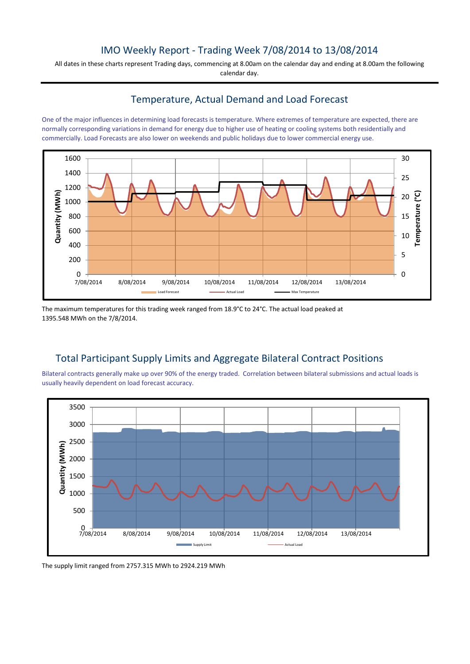## IMO Weekly Report - Trading Week 7/08/2014 to 13/08/2014

All dates in these charts represent Trading days, commencing at 8.00am on the calendar day and ending at 8.00am the following calendar day.

## Temperature, Actual Demand and Load Forecast

One of the major influences in determining load forecasts is temperature. Where extremes of temperature are expected, there are normally corresponding variations in demand for energy due to higher use of heating or cooling systems both residentially and commercially. Load Forecasts are also lower on weekends and public holidays due to lower commercial energy use.



The maximum temperatures for this trading week ranged from 18.9°C to 24°C. The actual load peaked at 1395.548 MWh on the 7/8/2014.

## Total Participant Supply Limits and Aggregate Bilateral Contract Positions

Bilateral contracts generally make up over 90% of the energy traded. Correlation between bilateral submissions and actual loads is usually heavily dependent on load forecast accuracy.



The supply limit ranged from 2757.315 MWh to 2924.219 MWh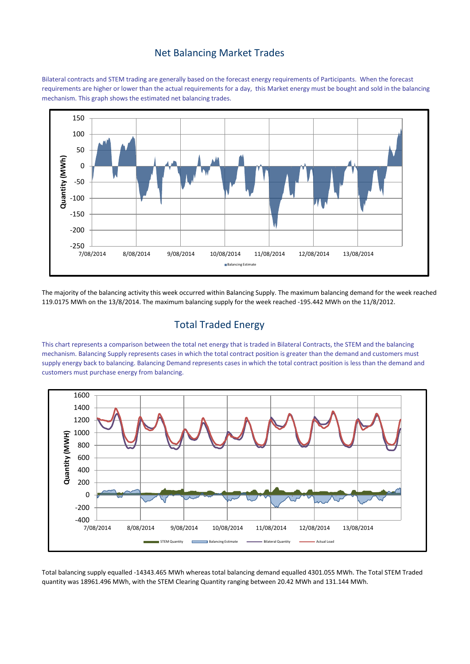#### Net Balancing Market Trades

Bilateral contracts and STEM trading are generally based on the forecast energy requirements of Participants. When the forecast requirements are higher or lower than the actual requirements for a day, this Market energy must be bought and sold in the balancing mechanism. This graph shows the estimated net balancing trades.



The majority of the balancing activity this week occurred within Balancing Supply. The maximum balancing demand for the week reached 119.0175 MWh on the 13/8/2014. The maximum balancing supply for the week reached -195.442 MWh on the 11/8/2012.

# Total Traded Energy

This chart represents a comparison between the total net energy that is traded in Bilateral Contracts, the STEM and the balancing mechanism. Balancing Supply represents cases in which the total contract position is greater than the demand and customers must supply energy back to balancing. Balancing Demand represents cases in which the total contract position is less than the demand and customers must purchase energy from balancing.



Total balancing supply equalled -14343.465 MWh whereas total balancing demand equalled 4301.055 MWh. The Total STEM Traded quantity was 18961.496 MWh, with the STEM Clearing Quantity ranging between 20.42 MWh and 131.144 MWh.